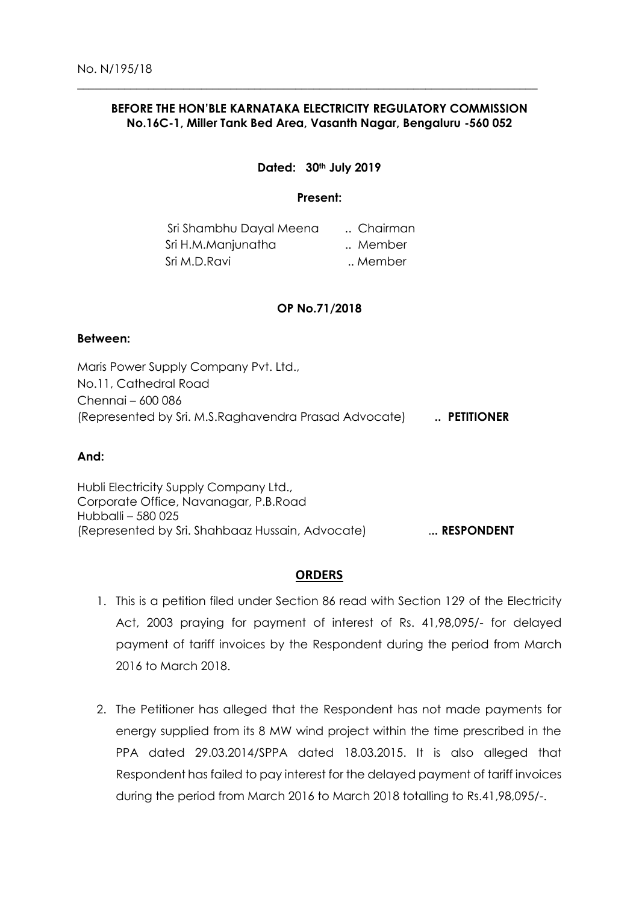# **BEFORE THE HON'BLE KARNATAKA ELECTRICITY REGULATORY COMMISSION No.16C-1, Miller Tank Bed Area, Vasanth Nagar, Bengaluru -560 052**

 $\_$  ,  $\_$  ,  $\_$  ,  $\_$  ,  $\_$  ,  $\_$  ,  $\_$  ,  $\_$  ,  $\_$  ,  $\_$  ,  $\_$  ,  $\_$  ,  $\_$  ,  $\_$  ,  $\_$  ,  $\_$  ,  $\_$  ,  $\_$  ,  $\_$  ,  $\_$  ,  $\_$  ,  $\_$  ,  $\_$  ,  $\_$  ,  $\_$  ,  $\_$  ,  $\_$  ,  $\_$  ,  $\_$  ,  $\_$  ,  $\_$  ,  $\_$  ,  $\_$  ,  $\_$  ,  $\_$  ,  $\_$  ,  $\_$  ,

# **Dated: 30th July 2019**

#### **Present:**

| Sri Shambhu Dayal Meena | Chairman |
|-------------------------|----------|
| Sri H.M.Manjunatha      | Member   |
| Sri M.D.Ravi            | Member   |

# **OP No.71/2018**

#### **Between:**

Maris Power Supply Company Pvt. Ltd., No.11, Cathedral Road Chennai – 600 086 (Represented by Sri. M.S.Raghavendra Prasad Advocate) **.. PETITIONER**

#### **And:**

Hubli Electricity Supply Company Ltd., Corporate Office, Navanagar, P.B.Road Hubballi – 580 025 (Represented by Sri. Shahbaaz Hussain, Advocate) .**.. RESPONDENT**

# **ORDERS**

- 1. This is a petition filed under Section 86 read with Section 129 of the Electricity Act, 2003 praying for payment of interest of Rs. 41,98,095/- for delayed payment of tariff invoices by the Respondent during the period from March 2016 to March 2018.
- 2. The Petitioner has alleged that the Respondent has not made payments for energy supplied from its 8 MW wind project within the time prescribed in the PPA dated 29.03.2014/SPPA dated 18.03.2015. It is also alleged that Respondent has failed to pay interest for the delayed payment of tariff invoices during the period from March 2016 to March 2018 totalling to Rs.41,98,095/-.